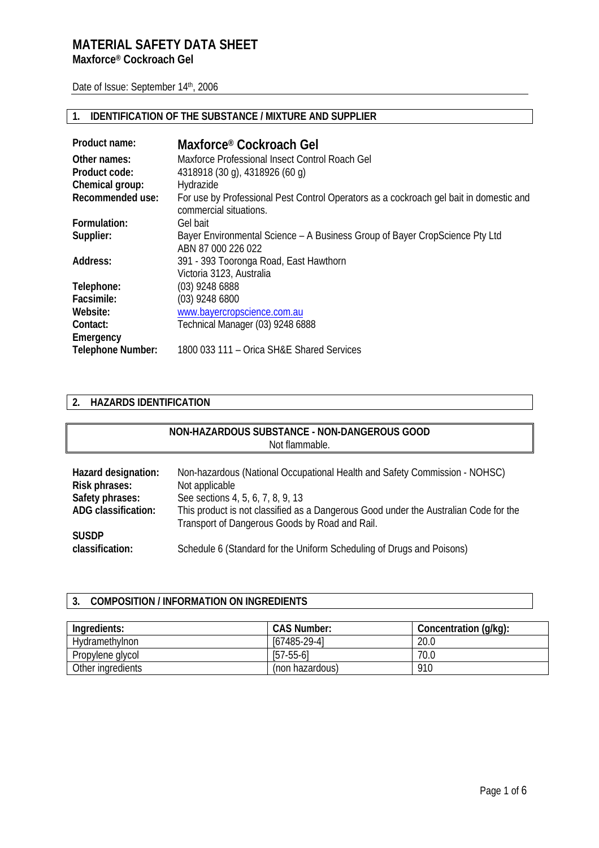# **MATERIAL SAFETY DATA SHEET Maxforce® Cockroach Gel**

Date of Issue: September 14th, 2006

### **1. IDENTIFICATION OF THE SUBSTANCE / MIXTURE AND SUPPLIER**

| Product name:            | Maxforce® Cockroach Gel                                                                                          |
|--------------------------|------------------------------------------------------------------------------------------------------------------|
| Other names:             | Maxforce Professional Insect Control Roach Gel                                                                   |
| Product code:            | 4318918 (30 g), 4318926 (60 g)                                                                                   |
| Chemical group:          | Hydrazide                                                                                                        |
| Recommended use:         | For use by Professional Pest Control Operators as a cockroach gel bait in domestic and<br>commercial situations. |
| Formulation:             | Gel bait                                                                                                         |
| Supplier:                | Bayer Environmental Science – A Business Group of Bayer CropScience Pty Ltd<br>ABN 87 000 226 022                |
| Address:                 | 391 - 393 Tooronga Road, East Hawthorn                                                                           |
|                          | Victoria 3123, Australia                                                                                         |
| Telephone:               | $(03)$ 9248 6888                                                                                                 |
| Facsimile:               | $(03)$ 9248 6800                                                                                                 |
| Website:                 | www.bayercropscience.com.au                                                                                      |
| Contact:                 | Technical Manager (03) 9248 6888                                                                                 |
| Emergency                |                                                                                                                  |
| <b>Telephone Number:</b> | 1800 033 111 - Orica SH&E Shared Services                                                                        |

#### **2. HAZARDS IDENTIFICATION**

### **NON-HAZARDOUS SUBSTANCE - NON-DANGEROUS GOOD**  Not flammable.

| Hazard designation: | Non-hazardous (National Occupational Health and Safety Commission - NOHSC)           |
|---------------------|--------------------------------------------------------------------------------------|
| Risk phrases:       | Not applicable                                                                       |
| Safety phrases:     | See sections 4, 5, 6, 7, 8, 9, 13                                                    |
| ADG classification: | This product is not classified as a Dangerous Good under the Australian Code for the |
|                     | Transport of Dangerous Goods by Road and Rail.                                       |
| <b>SUSDP</b>        |                                                                                      |
| classification:     | Schedule 6 (Standard for the Uniform Scheduling of Drugs and Poisons)                |

# **3. COMPOSITION / INFORMATION ON INGREDIENTS**

| Ingredients:      | <b>CAS Number:</b> | Concentration (g/kg): |
|-------------------|--------------------|-----------------------|
| Hydramethylnon    | $[67485-29-4]$     | 20.0                  |
| Propylene glycol  | $[57-55-6]$        | 70.C                  |
| Other ingredients | (non hazardous)    | 910                   |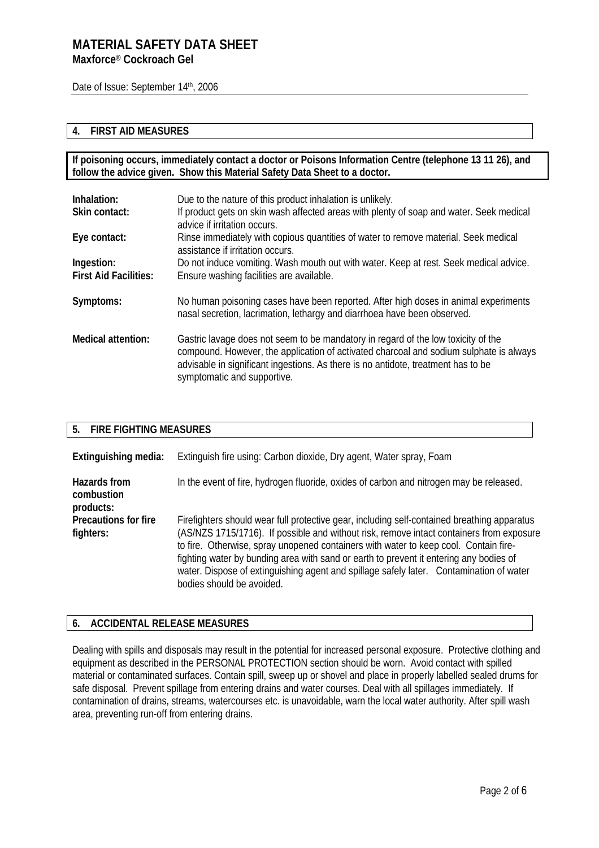Date of Issue: September 14th, 2006

#### **4. FIRST AID MEASURES**

**If poisoning occurs, immediately contact a doctor or Poisons Information Centre (telephone 13 11 26), and follow the advice given. Show this Material Safety Data Sheet to a doctor.**

| Inhalation:<br>Skin contact:               | Due to the nature of this product inhalation is unlikely.<br>If product gets on skin wash affected areas with plenty of soap and water. Seek medical<br>advice if irritation occurs.                                                                                                            |
|--------------------------------------------|-------------------------------------------------------------------------------------------------------------------------------------------------------------------------------------------------------------------------------------------------------------------------------------------------|
| Eye contact:                               | Rinse immediately with copious quantities of water to remove material. Seek medical<br>assistance if irritation occurs.                                                                                                                                                                         |
| Ingestion:<br><b>First Aid Facilities:</b> | Do not induce vomiting. Wash mouth out with water. Keep at rest. Seek medical advice.<br>Ensure washing facilities are available.                                                                                                                                                               |
| Symptoms:                                  | No human poisoning cases have been reported. After high doses in animal experiments<br>nasal secretion, lacrimation, lethargy and diarrhoea have been observed.                                                                                                                                 |
| Medical attention:                         | Gastric lavage does not seem to be mandatory in regard of the low toxicity of the<br>compound. However, the application of activated charcoal and sodium sulphate is always<br>advisable in significant ingestions. As there is no antidote, treatment has to be<br>symptomatic and supportive. |

#### **5. FIRE FIGHTING MEASURES**

**Extinguishing media:** Extinguish fire using: Carbon dioxide, Dry agent, Water spray, Foam **Hazards from combustion products:**  In the event of fire, hydrogen fluoride, oxides of carbon and nitrogen may be released. **Precautions for fire fighters:**  Firefighters should wear full protective gear, including self-contained breathing apparatus (AS/NZS 1715/1716). If possible and without risk, remove intact containers from exposure to fire. Otherwise, spray unopened containers with water to keep cool. Contain firefighting water by bunding area with sand or earth to prevent it entering any bodies of water. Dispose of extinguishing agent and spillage safely later. Contamination of water bodies should be avoided.

#### **6. ACCIDENTAL RELEASE MEASURES**

Dealing with spills and disposals may result in the potential for increased personal exposure. Protective clothing and equipment as described in the PERSONAL PROTECTION section should be worn. Avoid contact with spilled material or contaminated surfaces. Contain spill, sweep up or shovel and place in properly labelled sealed drums for safe disposal. Prevent spillage from entering drains and water courses. Deal with all spillages immediately. If contamination of drains, streams, watercourses etc. is unavoidable, warn the local water authority. After spill wash area, preventing run-off from entering drains.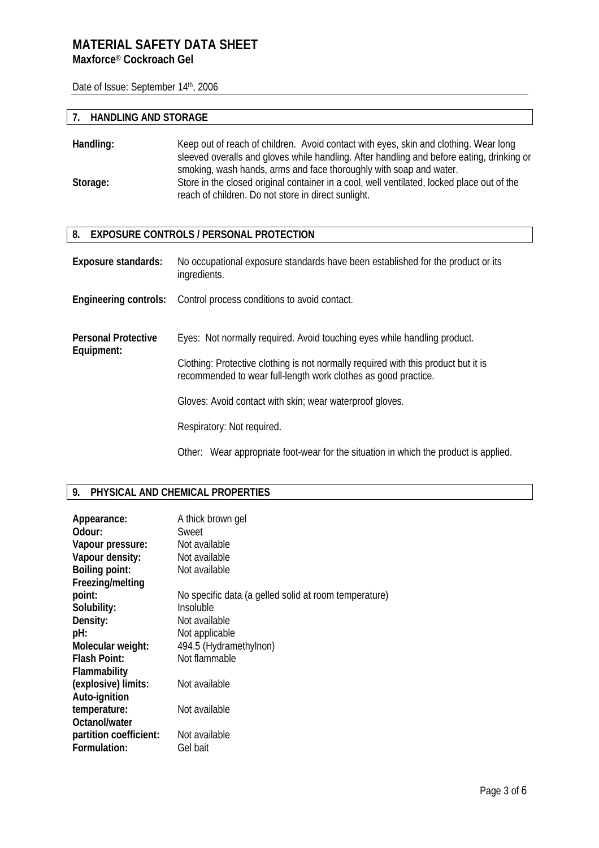Date of Issue: September 14th, 2006

### **7. HANDLING AND STORAGE**

| Handling: | Keep out of reach of children. Avoid contact with eyes, skin and clothing. Wear long       |
|-----------|--------------------------------------------------------------------------------------------|
|           | sleeved overalls and gloves while handling. After handling and before eating, drinking or  |
|           | smoking, wash hands, arms and face thoroughly with soap and water.                         |
| Storage:  | Store in the closed original container in a cool, well ventilated, locked place out of the |
|           | reach of children. Do not store in direct sunlight.                                        |

#### **8. EXPOSURE CONTROLS / PERSONAL PROTECTION**

| <b>Exposure standards:</b>               | No occupational exposure standards have been established for the product or its<br>ingredients.                                                      |
|------------------------------------------|------------------------------------------------------------------------------------------------------------------------------------------------------|
|                                          | <b>Engineering controls:</b> Control process conditions to avoid contact.                                                                            |
| <b>Personal Protective</b><br>Equipment: | Eyes: Not normally required. Avoid touching eyes while handling product.                                                                             |
|                                          | Clothing: Protective clothing is not normally required with this product but it is<br>recommended to wear full-length work clothes as good practice. |
|                                          | Gloves: Avoid contact with skin; wear waterproof gloves.                                                                                             |
|                                          | Respiratory: Not required.                                                                                                                           |
|                                          | Other: Wear appropriate foot-wear for the situation in which the product is applied.                                                                 |

# **9. PHYSICAL AND CHEMICAL PROPERTIES**

| Appearance:<br>Odour:  | A thick brown gel<br>Sweet                            |
|------------------------|-------------------------------------------------------|
| Vapour pressure:       | Not available                                         |
| Vapour density:        | Not available                                         |
| <b>Boiling point:</b>  | Not available                                         |
| Freezing/melting       |                                                       |
| point:                 | No specific data (a gelled solid at room temperature) |
| Solubility:            | Insoluble                                             |
| Density:               | Not available                                         |
| pH:                    | Not applicable                                        |
| Molecular weight:      | 494.5 (Hydramethylnon)                                |
| <b>Flash Point:</b>    | Not flammable                                         |
| <b>Flammability</b>    |                                                       |
| (explosive) limits:    | Not available                                         |
| Auto-ignition          |                                                       |
| temperature:           | Not available                                         |
| Octanol/water          |                                                       |
| partition coefficient: | Not available                                         |
| Formulation:           | Gel bait                                              |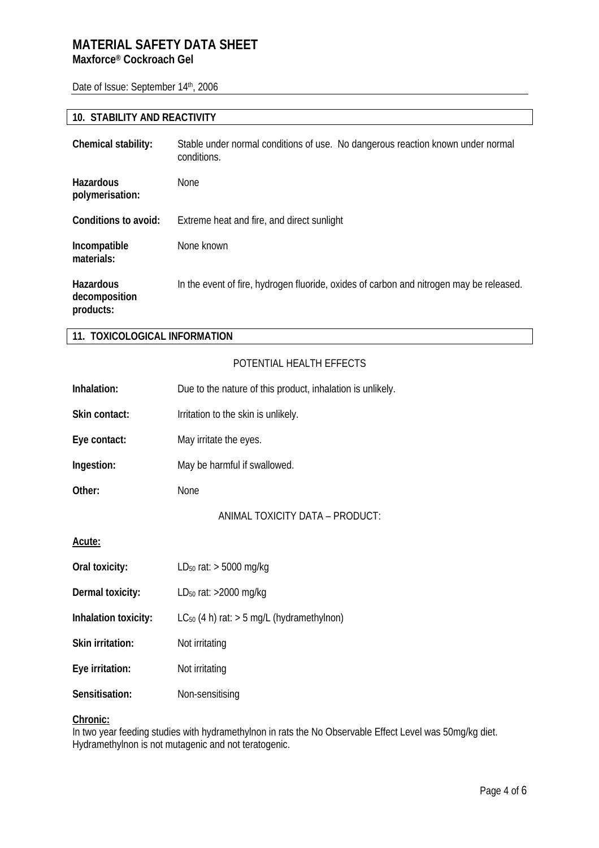Date of Issue: September 14th, 2006

### **10. STABILITY AND REACTIVITY**

| Chemical stability:                     | Stable under normal conditions of use. No dangerous reaction known under normal<br>conditions. |
|-----------------------------------------|------------------------------------------------------------------------------------------------|
| <b>Hazardous</b><br>polymerisation:     | <b>None</b>                                                                                    |
| Conditions to avoid:                    | Extreme heat and fire, and direct sunlight                                                     |
| Incompatible<br>materials:              | None known                                                                                     |
| Hazardous<br>decomposition<br>products: | In the event of fire, hydrogen fluoride, oxides of carbon and nitrogen may be released.        |

### **11. TOXICOLOGICAL INFORMATION**

### POTENTIAL HEALTH EFFECTS

| Inhalation:          | Due to the nature of this product, inhalation is unlikely. |
|----------------------|------------------------------------------------------------|
| Skin contact:        | Irritation to the skin is unlikely.                        |
| Eye contact:         | May irritate the eyes.                                     |
| Ingestion:           | May be harmful if swallowed.                               |
| Other:               | None                                                       |
|                      | ANIMAL TOXICITY DATA - PRODUCT:                            |
| Acute:               |                                                            |
| Oral toxicity:       | LD <sub>50</sub> rat: $>$ 5000 mg/kg                       |
| Dermal toxicity:     | LD <sub>50</sub> rat: >2000 mg/kg                          |
| Inhalation toxicity: | $LC_{50}$ (4 h) rat: $>$ 5 mg/L (hydramethylnon)           |
| Skin irritation:     | Not irritating                                             |
| Eye irritation:      | Not irritating                                             |
| Sensitisation:       | Non-sensitising                                            |

### **Chronic:**

In two year feeding studies with hydramethylnon in rats the No Observable Effect Level was 50mg/kg diet. Hydramethylnon is not mutagenic and not teratogenic.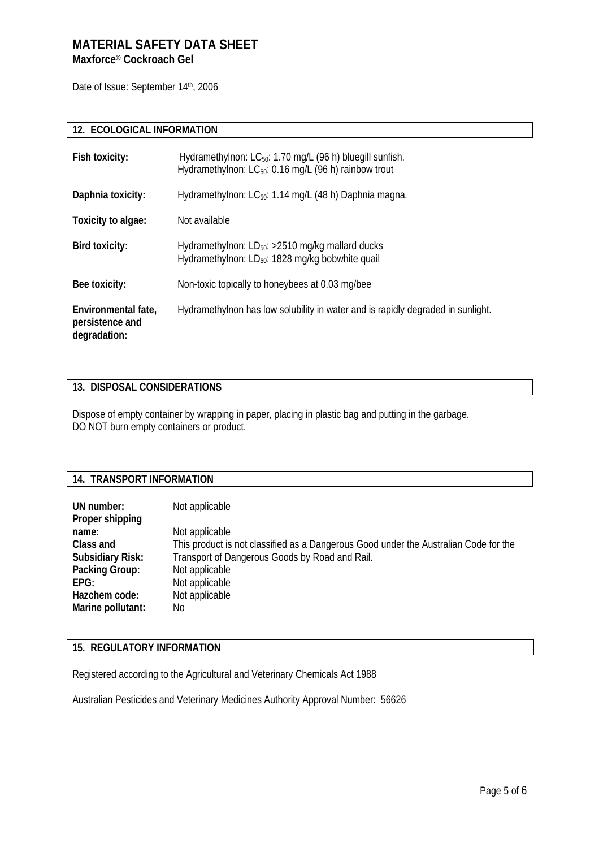# **MATERIAL SAFETY DATA SHEET Maxforce® Cockroach Gel**

Date of Issue: September 14th, 2006

## **12. ECOLOGICAL INFORMATION**

| Fish toxicity:                                         | Hydramethylnon: LC <sub>50</sub> : 1.70 mg/L (96 h) bluegill sunfish.<br>Hydramethylnon: LC <sub>50</sub> : 0.16 mg/L (96 h) rainbow trout |
|--------------------------------------------------------|--------------------------------------------------------------------------------------------------------------------------------------------|
| Daphnia toxicity:                                      | Hydramethylnon: LC <sub>50</sub> : 1.14 mg/L (48 h) Daphnia magna.                                                                         |
| Toxicity to algae:                                     | Not available                                                                                                                              |
| Bird toxicity:                                         | Hydramethylnon: $LD_{50}$ : >2510 mg/kg mallard ducks<br>Hydramethylnon: LD <sub>50</sub> : 1828 mg/kg bobwhite quail                      |
| Bee toxicity:                                          | Non-toxic topically to honeybees at 0.03 mg/bee                                                                                            |
| Environmental fate,<br>persistence and<br>degradation: | Hydramethylnon has low solubility in water and is rapidly degraded in sunlight.                                                            |

#### **13. DISPOSAL CONSIDERATIONS**

Dispose of empty container by wrapping in paper, placing in plastic bag and putting in the garbage. DO NOT burn empty containers or product.

#### **14. TRANSPORT INFORMATION**

| UN number:<br>Proper shipping | Not applicable                                                                       |
|-------------------------------|--------------------------------------------------------------------------------------|
| name:                         | Not applicable                                                                       |
| Class and                     | This product is not classified as a Dangerous Good under the Australian Code for the |
| <b>Subsidiary Risk:</b>       | Transport of Dangerous Goods by Road and Rail.                                       |
| Packing Group:                | Not applicable                                                                       |
| EPG:                          | Not applicable                                                                       |
| Hazchem code:                 | Not applicable                                                                       |
| Marine pollutant:             | No                                                                                   |

#### **15. REGULATORY INFORMATION**

Registered according to the Agricultural and Veterinary Chemicals Act 1988

Australian Pesticides and Veterinary Medicines Authority Approval Number: 56626